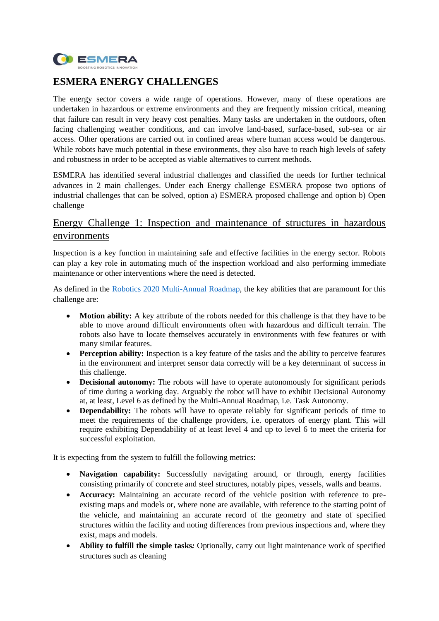

# **ESMERA ENERGY CHALLENGES**

The energy sector covers a wide range of operations. However, many of these operations are undertaken in hazardous or extreme environments and they are frequently mission critical, meaning that failure can result in very heavy cost penalties. Many tasks are undertaken in the outdoors, often facing challenging weather conditions, and can involve land-based, surface-based, sub-sea or air access. Other operations are carried out in confined areas where human access would be dangerous. While robots have much potential in these environments, they also have to reach high levels of safety and robustness in order to be accepted as viable alternatives to current methods.

ESMERA has identified several industrial challenges and classified the needs for further technical advances in 2 main challenges. Under each Energy challenge ESMERA propose two options of industrial challenges that can be solved, option a) ESMERA proposed challenge and option b) Open challenge

### Energy Challenge 1: Inspection and maintenance of structures in hazardous environments

Inspection is a key function in maintaining safe and effective facilities in the energy sector. Robots can play a key role in automating much of the inspection workload and also performing immediate maintenance or other interventions where the need is detected.

As defined in the [Robotics 2020 Multi-Annual Roadmap,](https://www.eu-robotics.net/cms/upload/topic_groups/H2020_Robotics_Multi-Annual_Roadmap_ICT-2017B.pdf) the key abilities that are paramount for this challenge are:

- **Motion ability:** A key attribute of the robots needed for this challenge is that they have to be able to move around difficult environments often with hazardous and difficult terrain. The robots also have to locate themselves accurately in environments with few features or with many similar features.
- **Perception ability:** Inspection is a key feature of the tasks and the ability to perceive features in the environment and interpret sensor data correctly will be a key determinant of success in this challenge.
- **Decisional autonomy:** The robots will have to operate autonomously for significant periods of time during a working day. Arguably the robot will have to exhibit Decisional Autonomy at, at least, Level 6 as defined by the Multi-Annual Roadmap, i.e. Task Autonomy.
- **Dependability:** The robots will have to operate reliably for significant periods of time to meet the requirements of the challenge providers, i.e. operators of energy plant. This will require exhibiting Dependability of at least level 4 and up to level 6 to meet the criteria for successful exploitation.

It is expecting from the system to fulfill the following metrics:

- **Navigation capability:** Successfully navigating around, or through, energy facilities consisting primarily of concrete and steel structures, notably pipes, vessels, walls and beams.
- **Accuracy:** Maintaining an accurate record of the vehicle position with reference to preexisting maps and models or, where none are available, with reference to the starting point of the vehicle, and maintaining an accurate record of the geometry and state of specified structures within the facility and noting differences from previous inspections and, where they exist, maps and models.
- **Ability to fulfill the simple tasks***:* Optionally, carry out light maintenance work of specified structures such as cleaning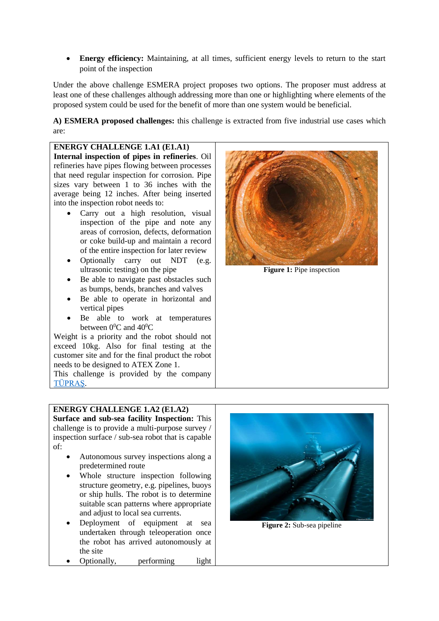• **Energy efficiency:** Maintaining, at all times, sufficient energy levels to return to the start point of the inspection

Under the above challenge ESMERA project proposes two options. The proposer must address at least one of these challenges although addressing more than one or highlighting where elements of the proposed system could be used for the benefit of more than one system would be beneficial.

**A) ESMERA proposed challenges:** this challenge is extracted from five industrial use cases which are:

**ENERGY CHALLENGE 1.A1 (E1.A1) Internal inspection of pipes in refineries**. Oil refineries have pipes flowing between processes that need regular inspection for corrosion. Pipe sizes vary between 1 to 36 inches with the average being 12 inches. After being inserted into the inspection robot needs to: Carry out a high resolution, visual inspection of the pipe and note any areas of corrosion, defects, deformation or coke build-up and maintain a record of the entire inspection for later review • Optionally carry out NDT (e.g. ultrasonic testing) on the pipe Be able to navigate past obstacles such as bumps, bends, branches and valves • Be able to operate in horizontal and vertical pipes • Be able to work at temperatures between  $0^0C$  and  $40^0C$ Weight is a priority and the robot should not exceed 10kg. Also for final testing at the customer site and for the final product the robot **Figure 1:** Pipe inspection

needs to be designed to ATEX Zone 1.

This challenge is provided by the company [TÜPRAŞ.](https://www.tupras.com.tr/)

### **ENERGY CHALLENGE 1.A2 (E1.A2)**

**Surface and sub-sea facility Inspection:** This challenge is to provide a multi-purpose survey / inspection surface / sub-sea robot that is capable of:

- Autonomous survey inspections along a predetermined route
- Whole structure inspection following structure geometry, e.g. pipelines, buoys or ship hulls. The robot is to determine suitable scan patterns where appropriate and adjust to local sea currents.
- Deployment of equipment at sea undertaken through teleoperation once the robot has arrived autonomously at the site
- Optionally, performing light



**Figure 2:** Sub-sea pipeline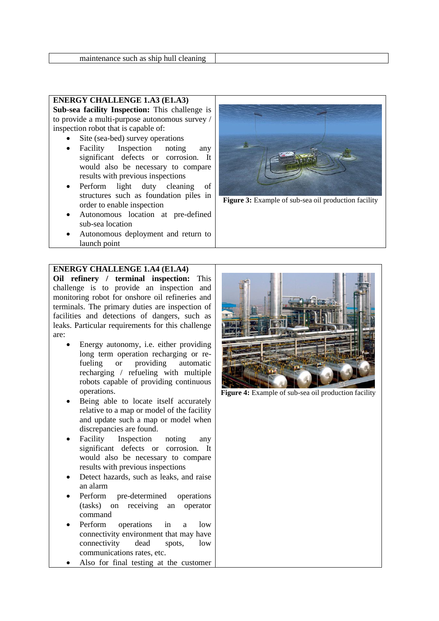#### **ENERGY CHALLENGE 1.A3 (E1.A3)**

**Sub-sea facility Inspection:** This challenge is to provide a multi-purpose autonomous survey / inspection robot that is capable of:

- Site (sea-bed) survey operations
- Facility Inspection noting any significant defects or corrosion. It would also be necessary to compare results with previous inspections
- Perform light duty cleaning of structures such as foundation piles in order to enable inspection
- Autonomous location at pre-defined sub-sea location
- Autonomous deployment and return to launch point

#### **ENERGY CHALLENGE 1.A4 (E1.A4)**

**Oil refinery / terminal inspection:** This challenge is to provide an inspection and monitoring robot for onshore oil refineries and terminals. The primary duties are inspection of facilities and detections of dangers, such as leaks. Particular requirements for this challenge are:

- Energy autonomy, i.e. either providing long term operation recharging or refueling or providing automatic recharging / refueling with multiple robots capable of providing continuous operations.
- Being able to locate itself accurately relative to a map or model of the facility and update such a map or model when discrepancies are found.
- Facility Inspection noting any significant defects or corrosion. It would also be necessary to compare results with previous inspections
- Detect hazards, such as leaks, and raise an alarm
- Perform pre-determined operations (tasks) on receiving an operator command
- Perform operations in a low connectivity environment that may have connectivity dead spots, low communications rates, etc.
- Also for final testing at the customer



**Figure 3:** Example of sub-sea oil production facility



**Figure 4:** Example of sub-sea oil production facility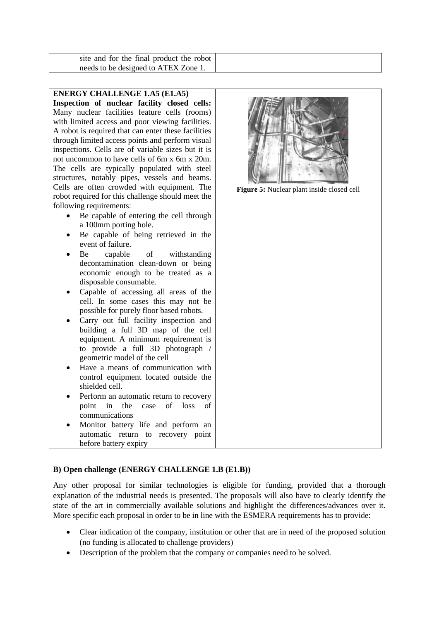| site and for the final product the robot |
|------------------------------------------|
| needs to be designed to ATEX Zone 1.     |

#### **B) Open challenge (ENERGY CHALLENGE 1.B (E1.B))**

Any other proposal for similar technologies is eligible for funding, provided that a thorough explanation of the industrial needs is presented. The proposals will also have to clearly identify the state of the art in commercially available solutions and highlight the differences/advances over it. More specific each proposal in order to be in line with the ESMERA requirements has to provide:

- Clear indication of the company, institution or other that are in need of the proposed solution (no funding is allocated to challenge providers)
- Description of the problem that the company or companies need to be solved.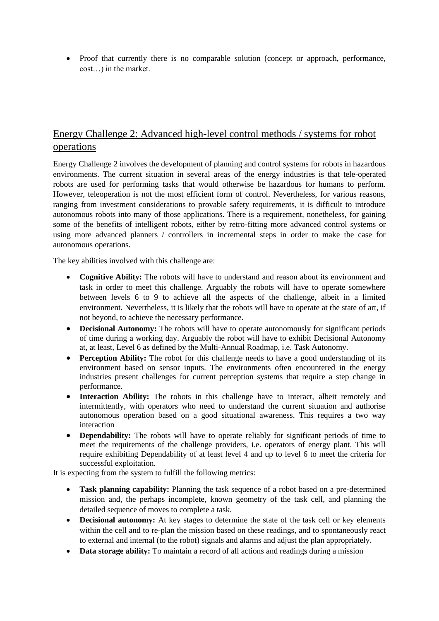• Proof that currently there is no comparable solution (concept or approach, performance, cost…) in the market.

# Energy Challenge 2: Advanced high-level control methods / systems for robot operations

Energy Challenge 2 involves the development of planning and control systems for robots in hazardous environments. The current situation in several areas of the energy industries is that tele-operated robots are used for performing tasks that would otherwise be hazardous for humans to perform. However, teleoperation is not the most efficient form of control. Nevertheless, for various reasons, ranging from investment considerations to provable safety requirements, it is difficult to introduce autonomous robots into many of those applications. There is a requirement, nonetheless, for gaining some of the benefits of intelligent robots, either by retro-fitting more advanced control systems or using more advanced planners / controllers in incremental steps in order to make the case for autonomous operations.

The key abilities involved with this challenge are:

- **Cognitive Ability:** The robots will have to understand and reason about its environment and task in order to meet this challenge. Arguably the robots will have to operate somewhere between levels 6 to 9 to achieve all the aspects of the challenge, albeit in a limited environment. Nevertheless, it is likely that the robots will have to operate at the state of art, if not beyond, to achieve the necessary performance.
- **Decisional Autonomy:** The robots will have to operate autonomously for significant periods of time during a working day. Arguably the robot will have to exhibit Decisional Autonomy at, at least, Level 6 as defined by the Multi-Annual Roadmap, i.e. Task Autonomy.
- **Perception Ability:** The robot for this challenge needs to have a good understanding of its environment based on sensor inputs. The environments often encountered in the energy industries present challenges for current perception systems that require a step change in performance.
- **Interaction Ability:** The robots in this challenge have to interact, albeit remotely and intermittently, with operators who need to understand the current situation and authorise autonomous operation based on a good situational awareness. This requires a two way interaction
- **Dependability:** The robots will have to operate reliably for significant periods of time to meet the requirements of the challenge providers, i.e. operators of energy plant. This will require exhibiting Dependability of at least level 4 and up to level 6 to meet the criteria for successful exploitation.

It is expecting from the system to fulfill the following metrics:

- **Task planning capability:** Planning the task sequence of a robot based on a pre-determined mission and, the perhaps incomplete, known geometry of the task cell, and planning the detailed sequence of moves to complete a task.
- **Decisional autonomy:** At key stages to determine the state of the task cell or key elements within the cell and to re-plan the mission based on these readings, and to spontaneously react to external and internal (to the robot) signals and alarms and adjust the plan appropriately.
- **Data storage ability:** To maintain a record of all actions and readings during a mission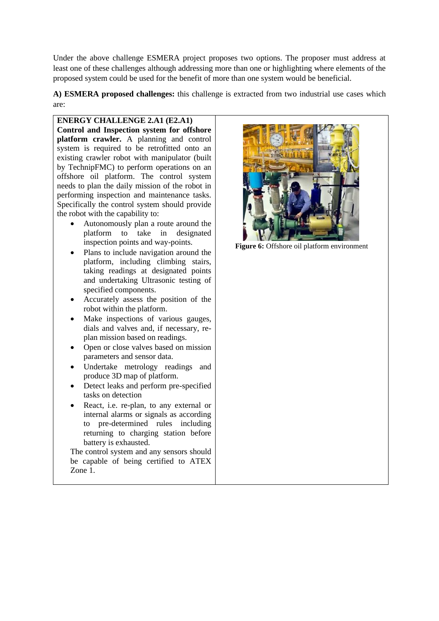Under the above challenge ESMERA project proposes two options. The proposer must address at least one of these challenges although addressing more than one or highlighting where elements of the proposed system could be used for the benefit of more than one system would be beneficial.

**A) ESMERA proposed challenges:** this challenge is extracted from two industrial use cases which are:

**ENERGY CHALLENGE 2.A1 (E2.A1) Control and Inspection system for offshore platform crawler.** A planning and control system is required to be retrofitted onto an existing crawler robot with manipulator (built by TechnipFMC) to perform operations on an offshore oil platform. The control system needs to plan the daily mission of the robot in performing inspection and maintenance tasks. Specifically the control system should provide the robot with the capability to:

- Autonomously plan a route around the platform to take in designated inspection points and way-points.
- Plans to include navigation around the platform, including climbing stairs, taking readings at designated points and undertaking Ultrasonic testing of specified components.
- Accurately assess the position of the robot within the platform.
- Make inspections of various gauges, dials and valves and, if necessary, replan mission based on readings.
- Open or close valves based on mission parameters and sensor data.
- Undertake metrology readings and produce 3D map of platform.
- Detect leaks and perform pre-specified tasks on detection
- React, i.e. re-plan, to any external or internal alarms or signals as according to pre-determined rules including returning to charging station before battery is exhausted.

The control system and any sensors should be capable of being certified to ATEX Zone 1.



**Figure 6:** Offshore oil platform environment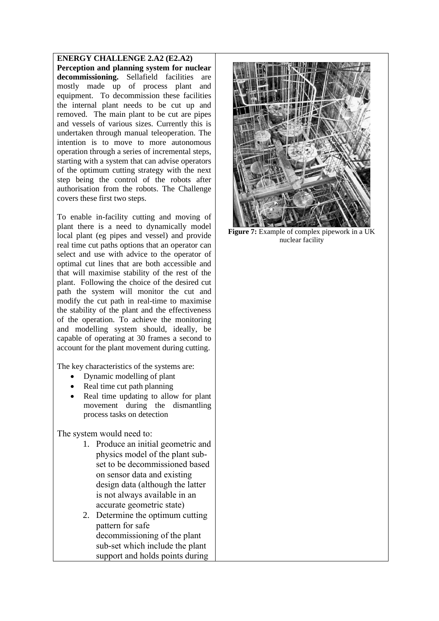**ENERGY CHALLENGE 2.A2 (E2.A2) Perception and planning system for nuclear decommissioning.** Sellafield facilities are mostly made up of process plant and equipment. To decommission these facilities the internal plant needs to be cut up and removed. The main plant to be cut are pipes and vessels of various sizes. Currently this is undertaken through manual teleoperation. The intention is to move to more autonomous operation through a series of incremental steps, starting with a system that can advise operators of the optimum cutting strategy with the next step being the control of the robots after authorisation from the robots. The Challenge covers these first two steps.

To enable in-facility cutting and moving of plant there is a need to dynamically model local plant (eg pipes and vessel) and provide real time cut paths options that an operator can select and use with advice to the operator of optimal cut lines that are both accessible and that will maximise stability of the rest of the plant. Following the choice of the desired cut path the system will monitor the cut and modify the cut path in real-time to maximise the stability of the plant and the effectiveness of the operation. To achieve the monitoring and modelling system should, ideally, be capable of operating at 30 frames a second to account for the plant movement during cutting.

The key characteristics of the systems are:

- Dynamic modelling of plant
- Real time cut path planning
- Real time updating to allow for plant movement during the dismantling process tasks on detection

The system would need to:

- 1. Produce an initial geometric and physics model of the plant subset to be decommissioned based on sensor data and existing design data (although the latter is not always available in an accurate geometric state)
- 2. Determine the optimum cutting pattern for safe decommissioning of the plant sub-set which include the plant support and holds points during



**Figure 7:** Example of complex pipework in a UK nuclear facility